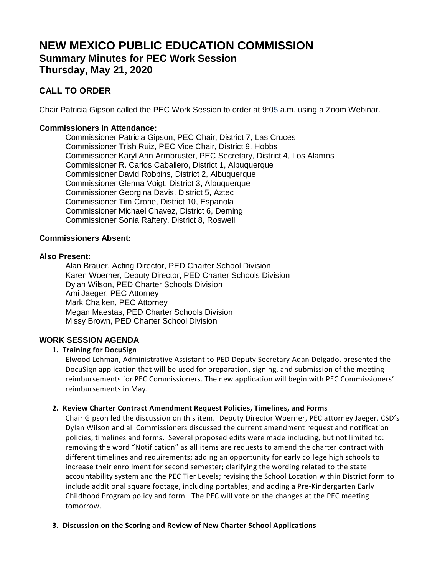# **NEW MEXICO PUBLIC EDUCATION COMMISSION Summary Minutes for PEC Work Session Thursday, May 21, 2020**

## **CALL TO ORDER**

Chair Patricia Gipson called the PEC Work Session to order at 9:05 a.m. using a Zoom Webinar.

## **Commissioners in Attendance:**

Commissioner Patricia Gipson, PEC Chair, District 7, Las Cruces Commissioner Trish Ruiz, PEC Vice Chair, District 9, Hobbs Commissioner Karyl Ann Armbruster, PEC Secretary, District 4, Los Alamos Commissioner R. Carlos Caballero, District 1, Albuquerque Commissioner David Robbins, District 2, Albuquerque Commissioner Glenna Voigt, District 3, Albuquerque Commissioner Georgina Davis, District 5, Aztec Commissioner Tim Crone, District 10, Espanola Commissioner Michael Chavez, District 6, Deming Commissioner Sonia Raftery, District 8, Roswell

## **Commissioners Absent:**

### **Also Present:**

Alan Brauer, Acting Director, PED Charter School Division Karen Woerner, Deputy Director, PED Charter Schools Division Dylan Wilson, PED Charter Schools Division Ami Jaeger, PEC Attorney Mark Chaiken, PEC Attorney Megan Maestas, PED Charter Schools Division Missy Brown, PED Charter School Division

## **WORK SESSION AGENDA**

## **1. Training for DocuSign**

Elwood Lehman, Administrative Assistant to PED Deputy Secretary Adan Delgado, presented the DocuSign application that will be used for preparation, signing, and submission of the meeting reimbursements for PEC Commissioners. The new application will begin with PEC Commissioners' reimbursements in May.

#### **2. Review Charter Contract Amendment Request Policies, Timelines, and Forms**

Chair Gipson led the discussion on this item. Deputy Director Woerner, PEC attorney Jaeger, CSD's Dylan Wilson and all Commissioners discussed the current amendment request and notification policies, timelines and forms. Several proposed edits were made including, but not limited to: removing the word "Notification" as all items are requests to amend the charter contract with different timelines and requirements; adding an opportunity for early college high schools to increase their enrollment for second semester; clarifying the wording related to the state accountability system and the PEC Tier Levels; revising the School Location within District form to include additional square footage, including portables; and adding a Pre-Kindergarten Early Childhood Program policy and form. The PEC will vote on the changes at the PEC meeting tomorrow.

#### **3. Discussion on the Scoring and Review of New Charter School Applications**